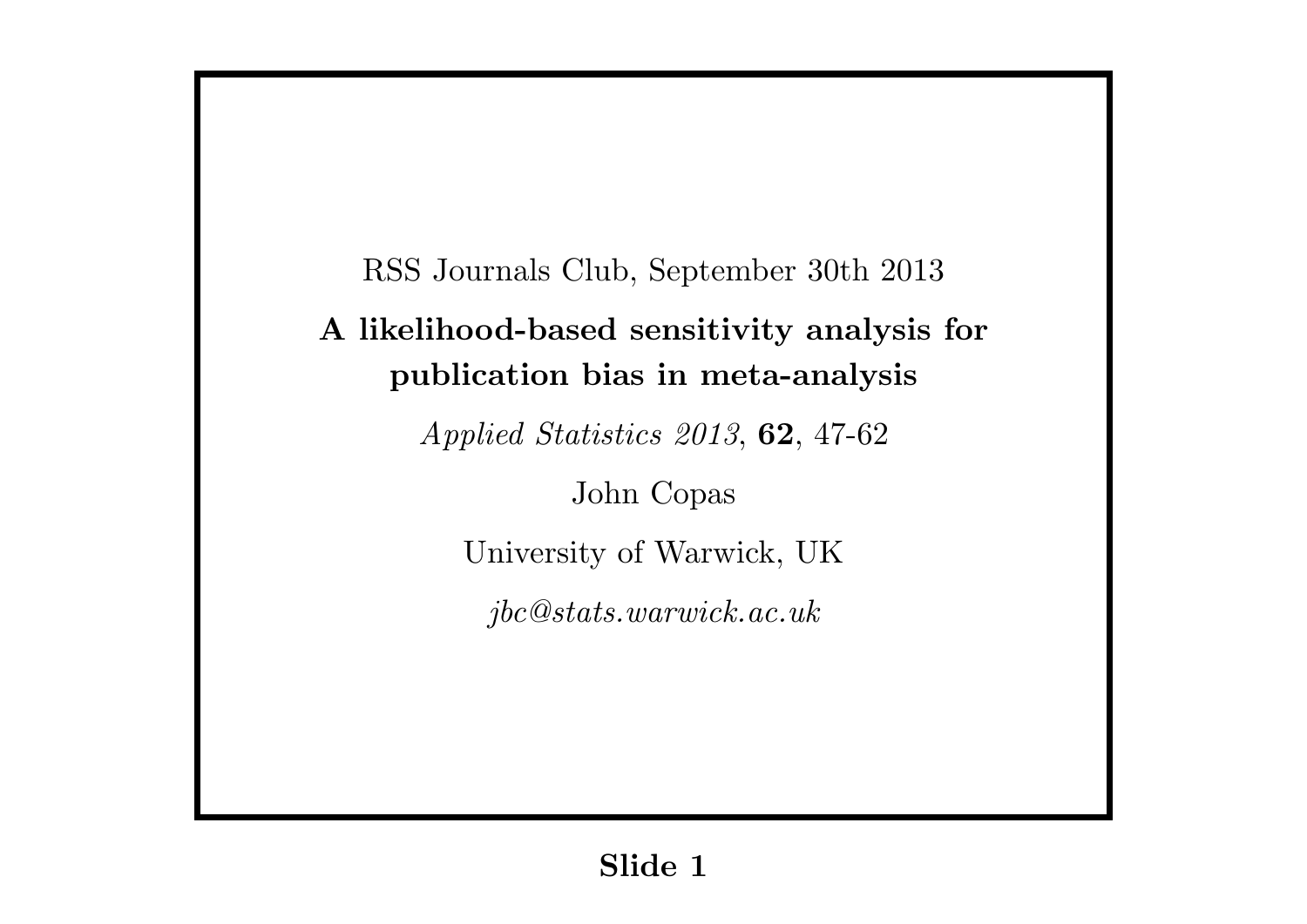RSS Journals Club, September 30th 2013 **A likelihood-based sensitivity analysis for publication bias in meta-analysis** *Applied Statistics 2013*, **62**, 47-62 John Copas University of Warwick, UK *jbc@stats.warwick.ac.uk*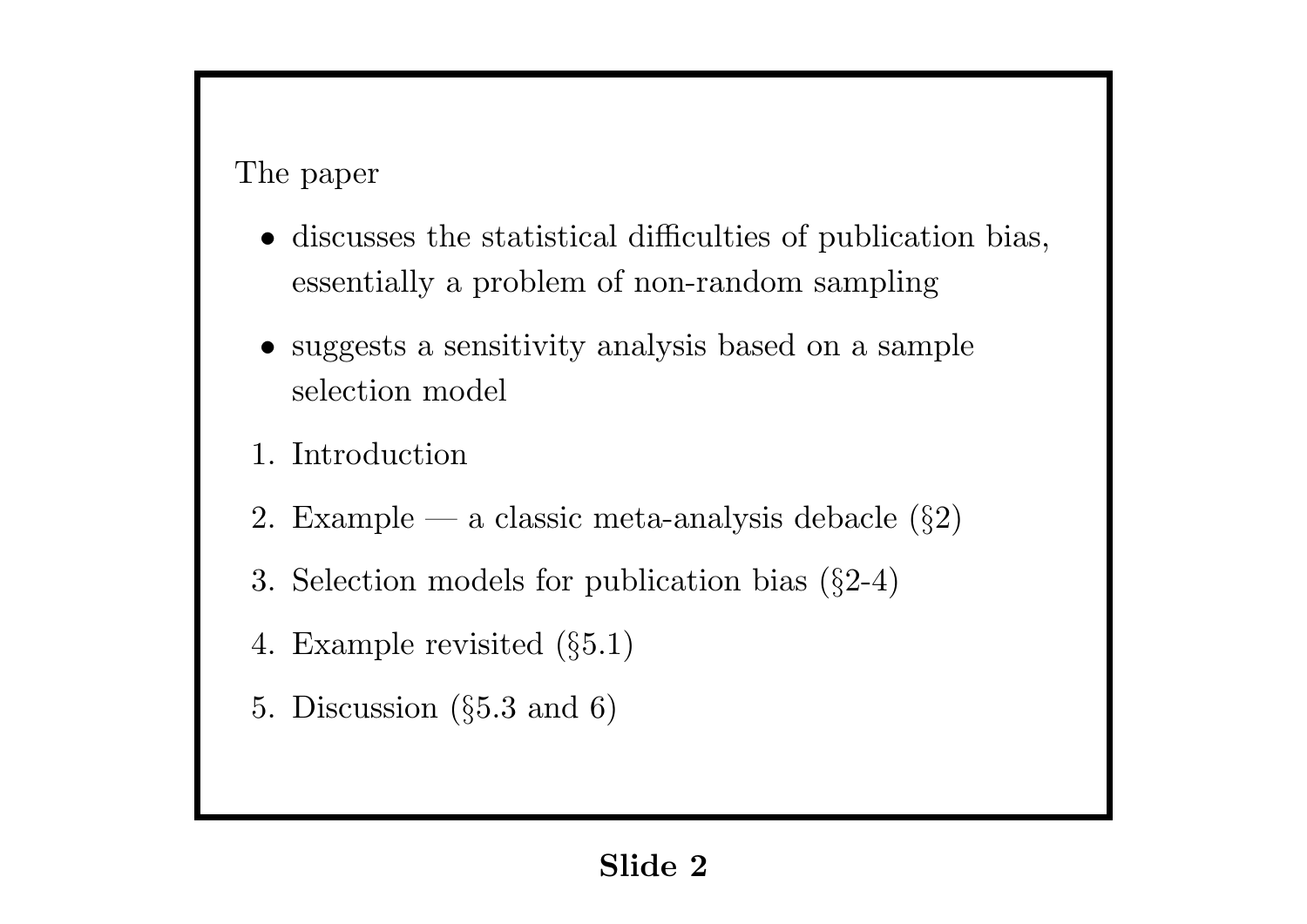## The paper

- *•* discusses the statistical difficulties of publication bias, essentially a problem of non-random sampling
- suggests a sensitivity analysis based on a sample selection model
- 1. Introduction
- 2. Example a classic meta-analysis debacle (*§*2)
- 3. Selection models for publication bias (*§*2-4)
- 4. Example revisited (*§*5.1)
- 5. Discussion (*§*5.3 and 6)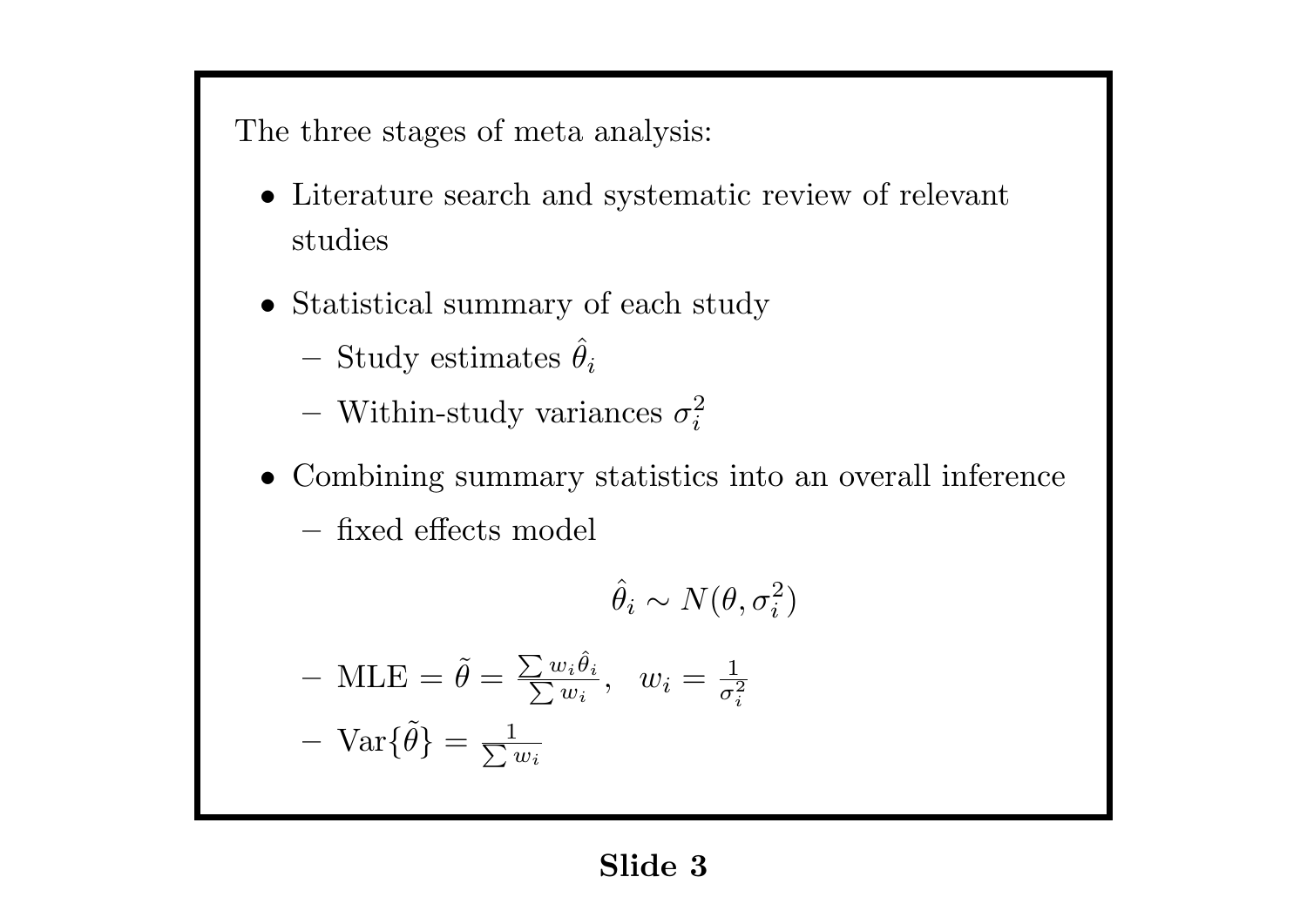The three stages of meta analysis:

- *•* Literature search and systematic review of relevant studies
- *•* Statistical summary of each study
	- $-$  Study estimates  $\hat{\theta}_i$
	- $-$  Within-study variances  $\sigma_i^2$ *i*
- *•* Combining summary statistics into an overall inference

**–** fixed effects model

$$
\hat{\theta}_i \sim N(\theta, \sigma_i^2)
$$

$$
-\text{MLE} = \tilde{\theta} = \frac{\sum w_i \hat{\theta}_i}{\sum w_i}, \quad w_i = \frac{1}{\sigma_i^2}
$$

$$
-\text{Var}\{\tilde{\theta}\} = \frac{1}{\sum w_i}
$$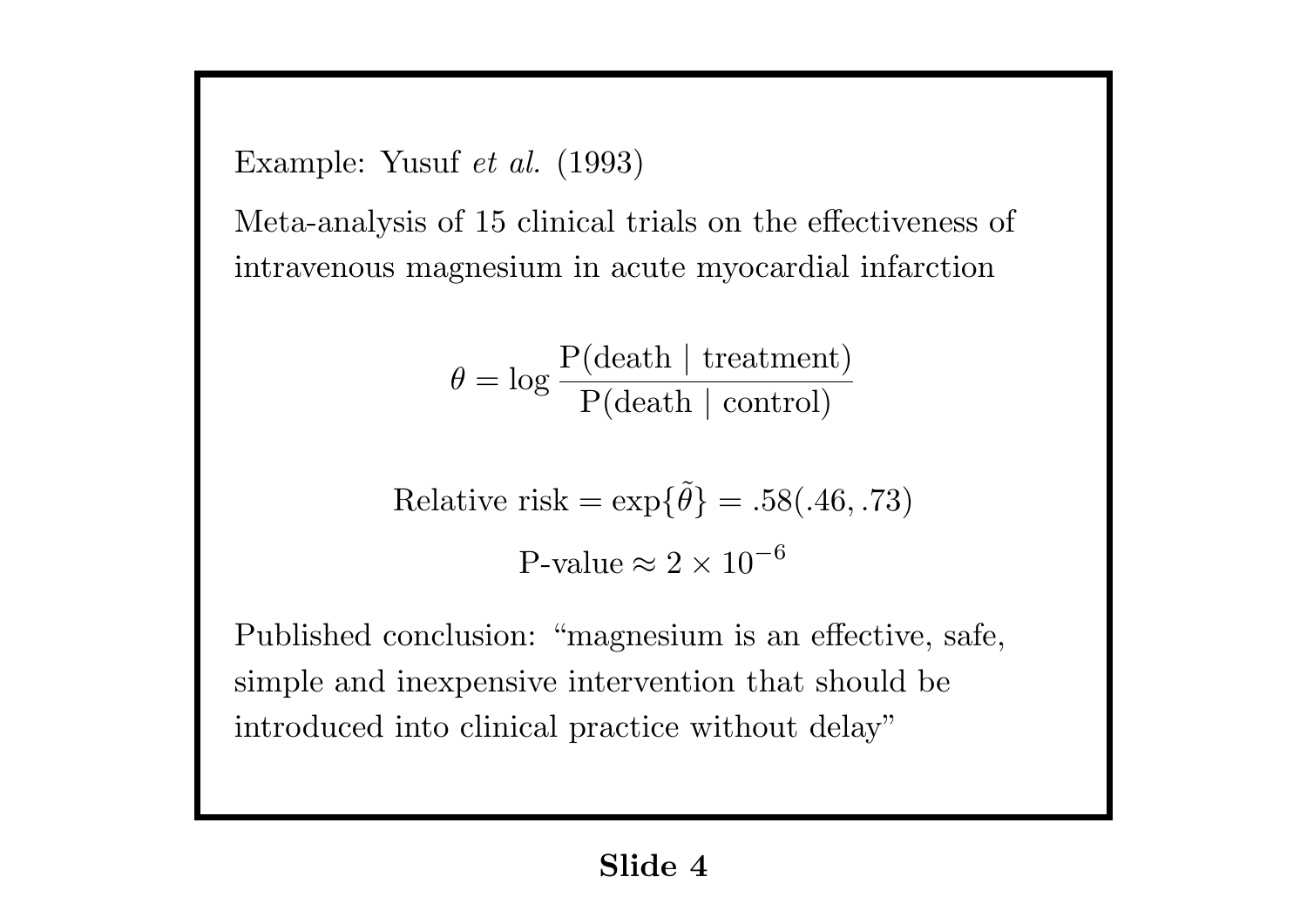Example: Yusuf *et al.* (1993)

Meta-analysis of 15 clinical trials on the effectiveness of intravenous magnesium in acute myocardial infarction

$$
\theta = \log \frac{P(\text{death } | \text{ treatment})}{P(\text{death } | \text{ control})}
$$

Relative risk = 
$$
\exp{\{\tilde{\theta}\}} = .58(.46, .73)
$$
  
P-value  $\approx 2 \times 10^{-6}$ 

Published conclusion: "magnesium is an effective, safe, simple and inexpensive intervention that should be introduced into clinical practice without delay"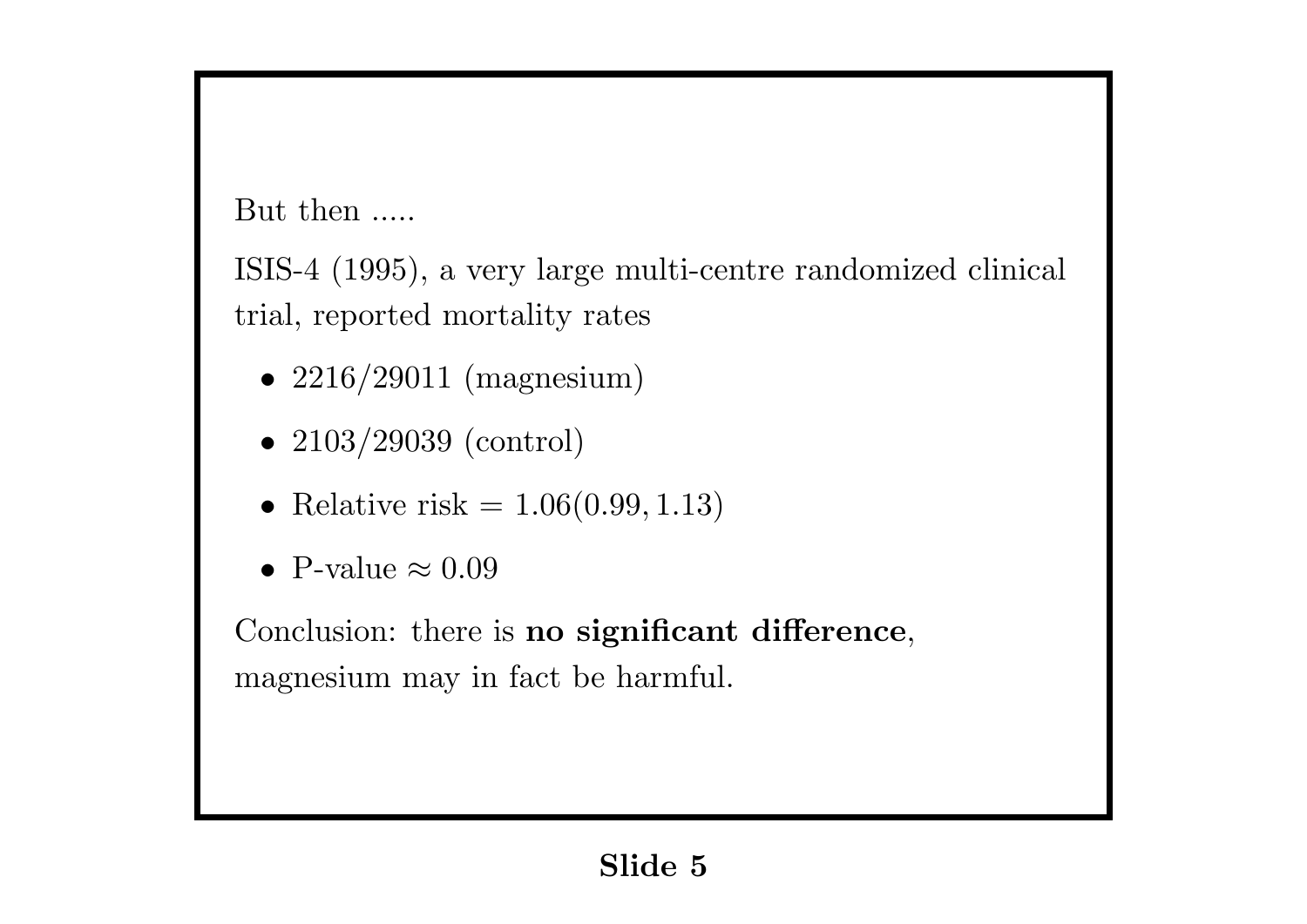But then .....

ISIS-4 (1995), a very large multi-centre randomized clinical trial, reported mortality rates

- 2216/29011 (magnesium)
- 2103/29039 (control)
- Relative risk  $= 1.06(0.99, 1.13)$
- *•* P-value *≈* 0*.*09

Conclusion: there is **no significant difference**, magnesium may in fact be harmful.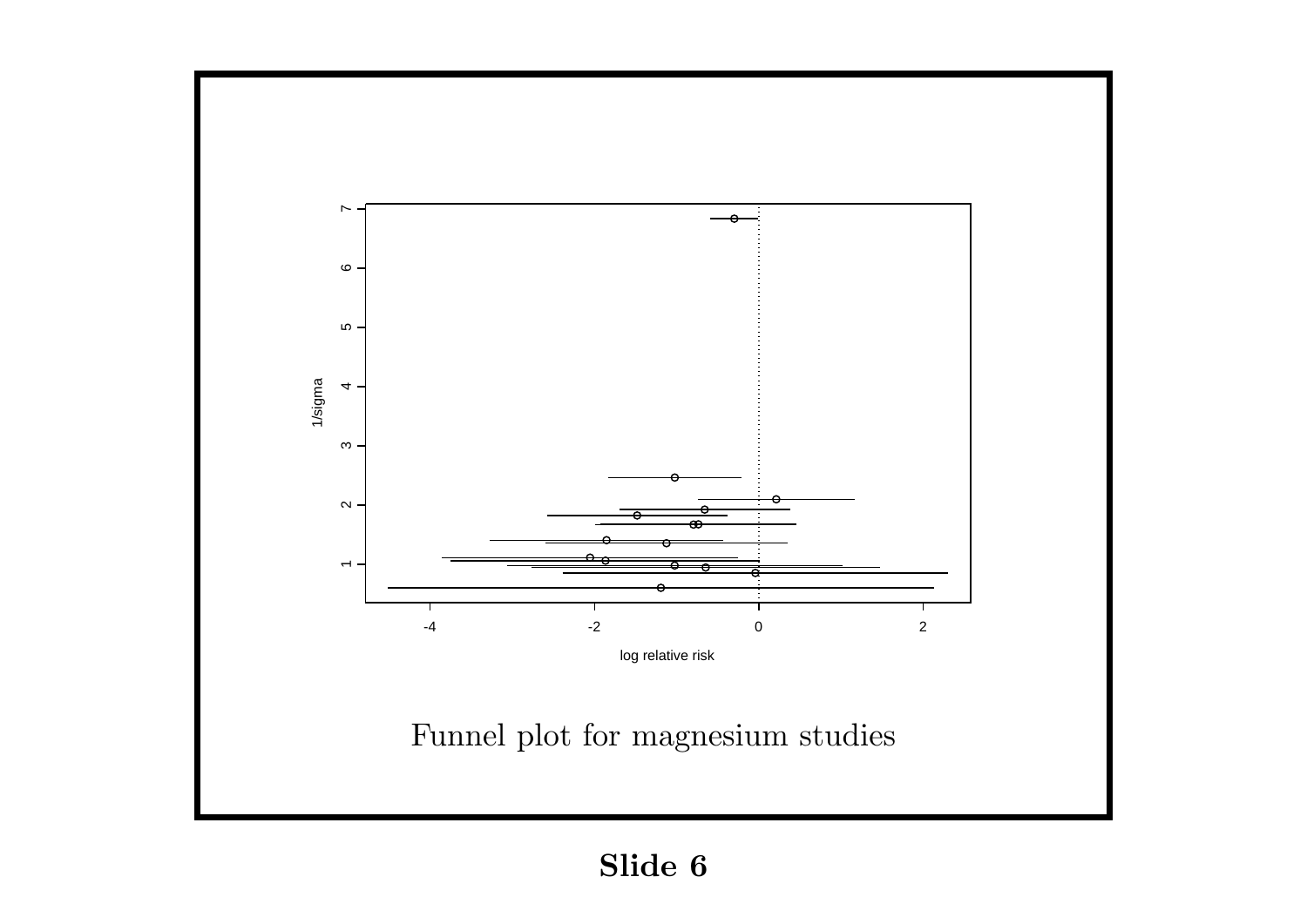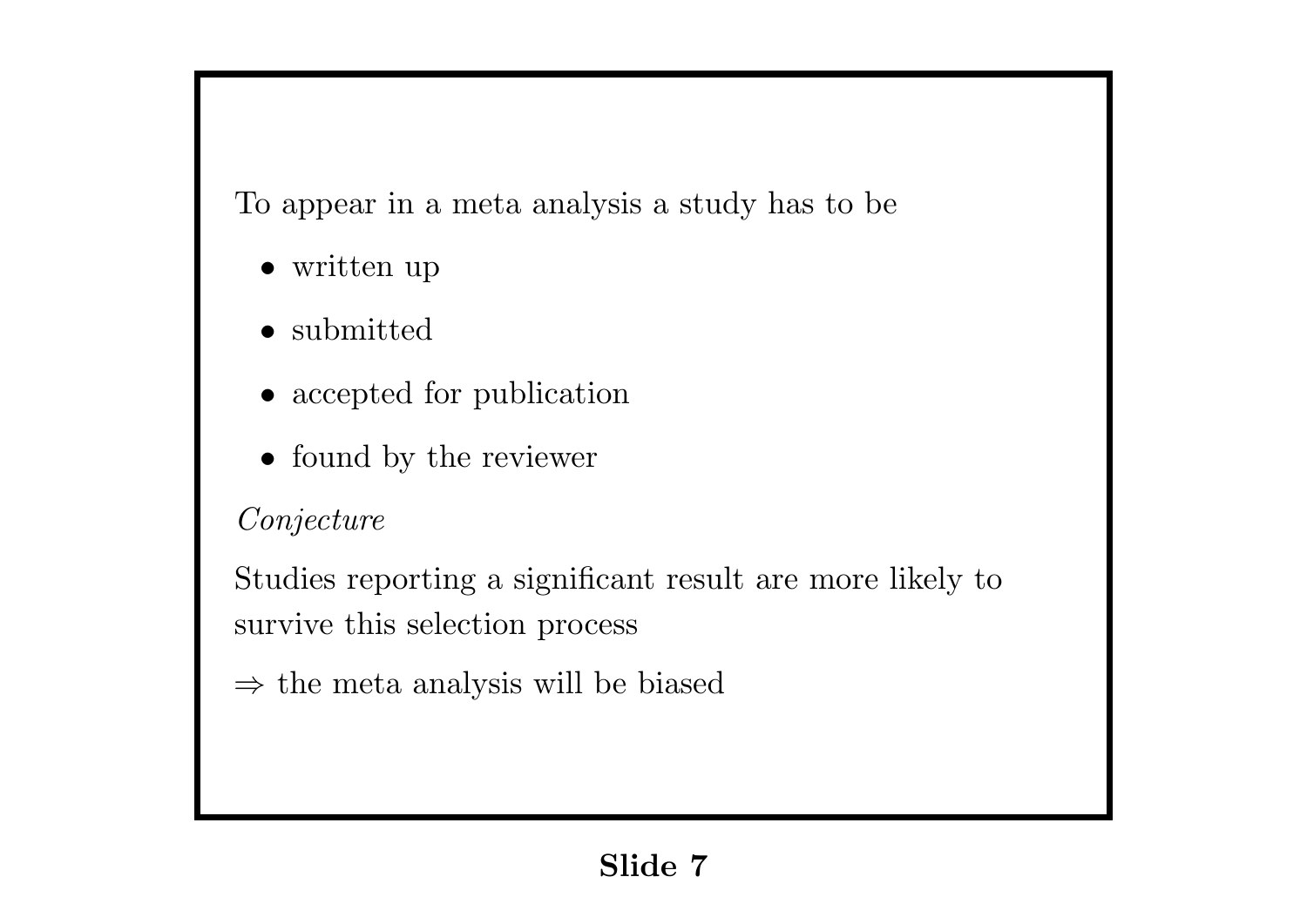To appear in a meta analysis a study has to be

- *•* written up
- *•* submitted
- *•* accepted for publication
- found by the reviewer

## *Conjecture*

Studies reporting a significant result are more likely to survive this selection process

*⇒* the meta analysis will be biased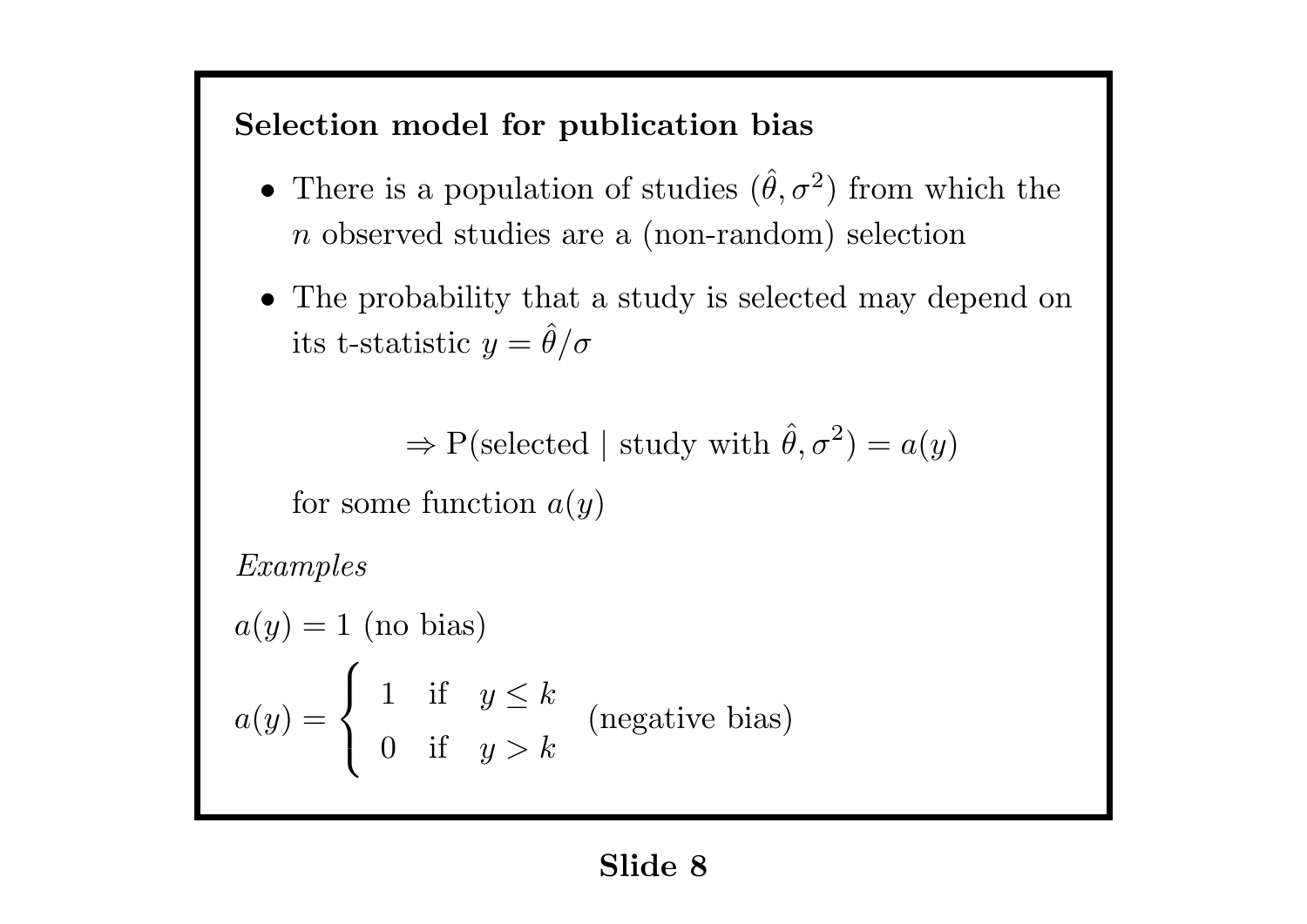## **Selection model for publication bias**

- There is a population of studies  $(\hat{\theta}, \sigma^2)$  from which the *n* observed studies are a (non-random) selection
- The probability that a study is selected may depend on its t-statistic  $y = \hat{\theta}/\sigma$

 $\Rightarrow$  P(selected | study with  $\hat{\theta}, \sigma^2$ ) =  $a(y)$ 

for some function *a*(*y*)

*Examples*

 $a(y) = 1$  (no bias)  $a(y) =$  $\sqrt{ }$  $\int$  $\overline{a}$ 1 if  $y \leq k$ 0 if *y > k* (negative bias)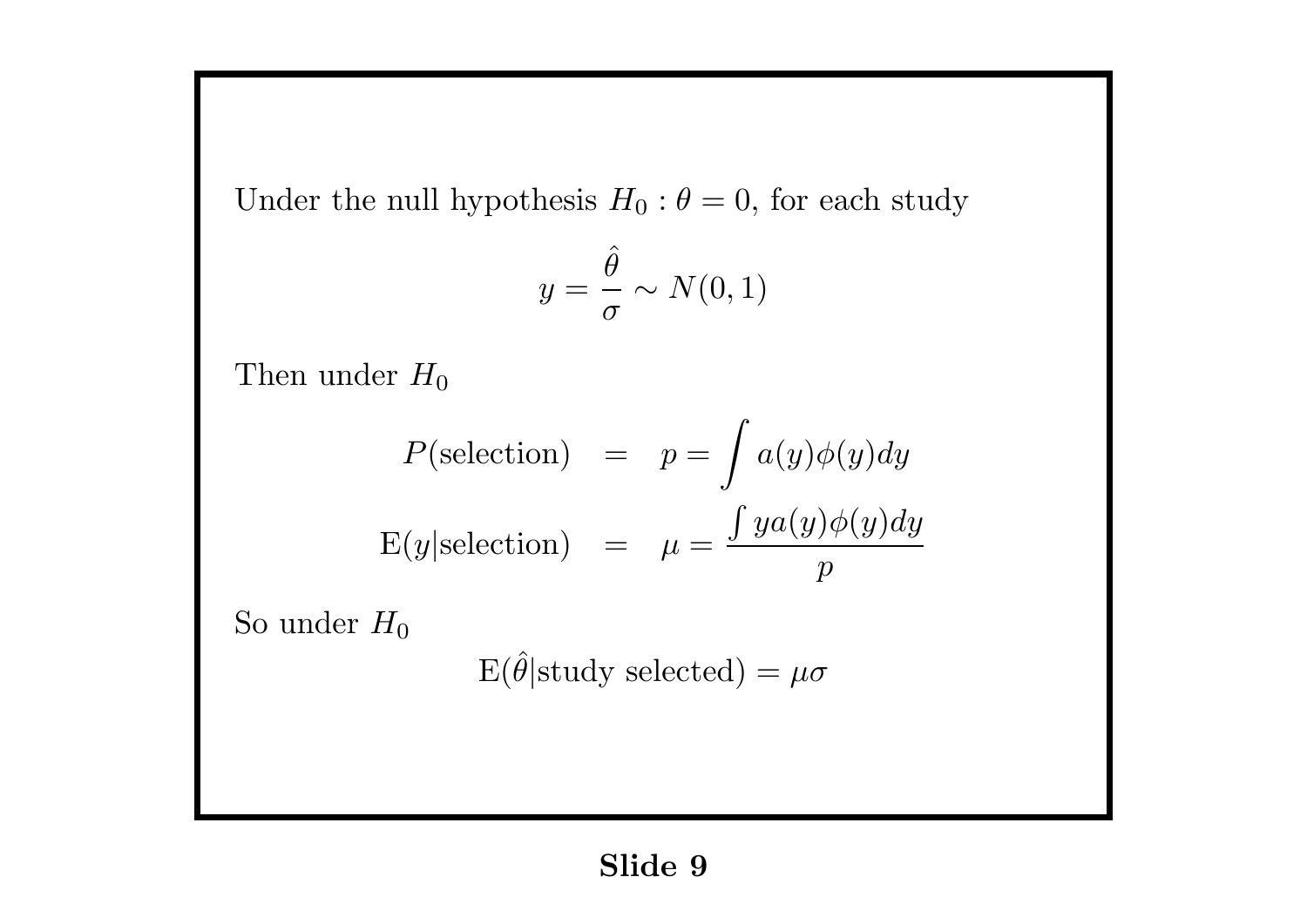Under the null hypothesis  $H_0: \theta = 0$ , for each study

$$
y=\frac{\hat{\theta}}{\sigma}\sim N(0,1)
$$

Then under  $H_0$ 

$$
P(\text{selection}) = p = \int a(y)\phi(y)dy
$$

$$
E(y|\text{selection}) = \mu = \frac{\int ya(y)\phi(y)dy}{p}
$$

So under  $H_0$ 

 $E(\hat{\theta}|\text{study selected}) = \mu\sigma$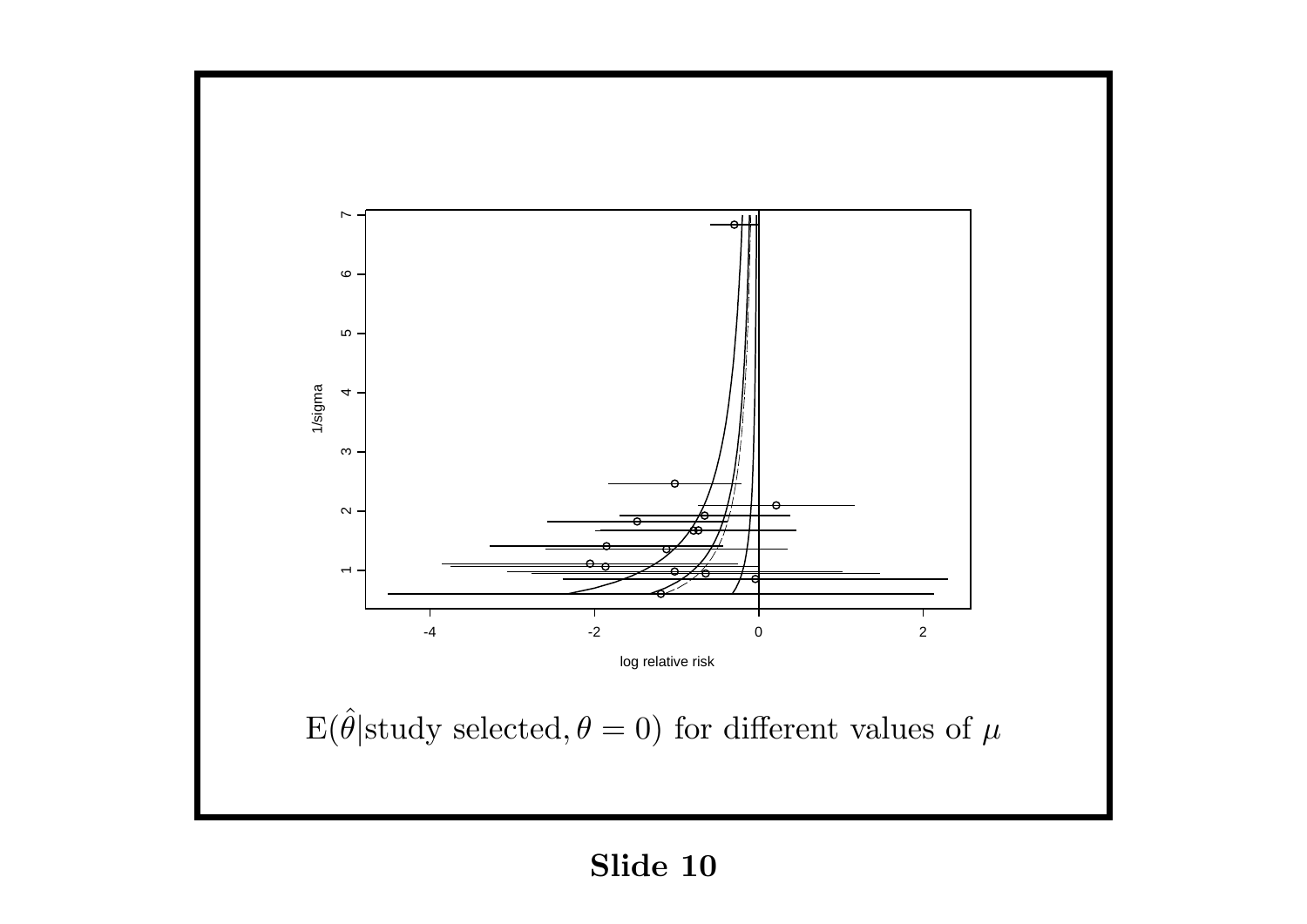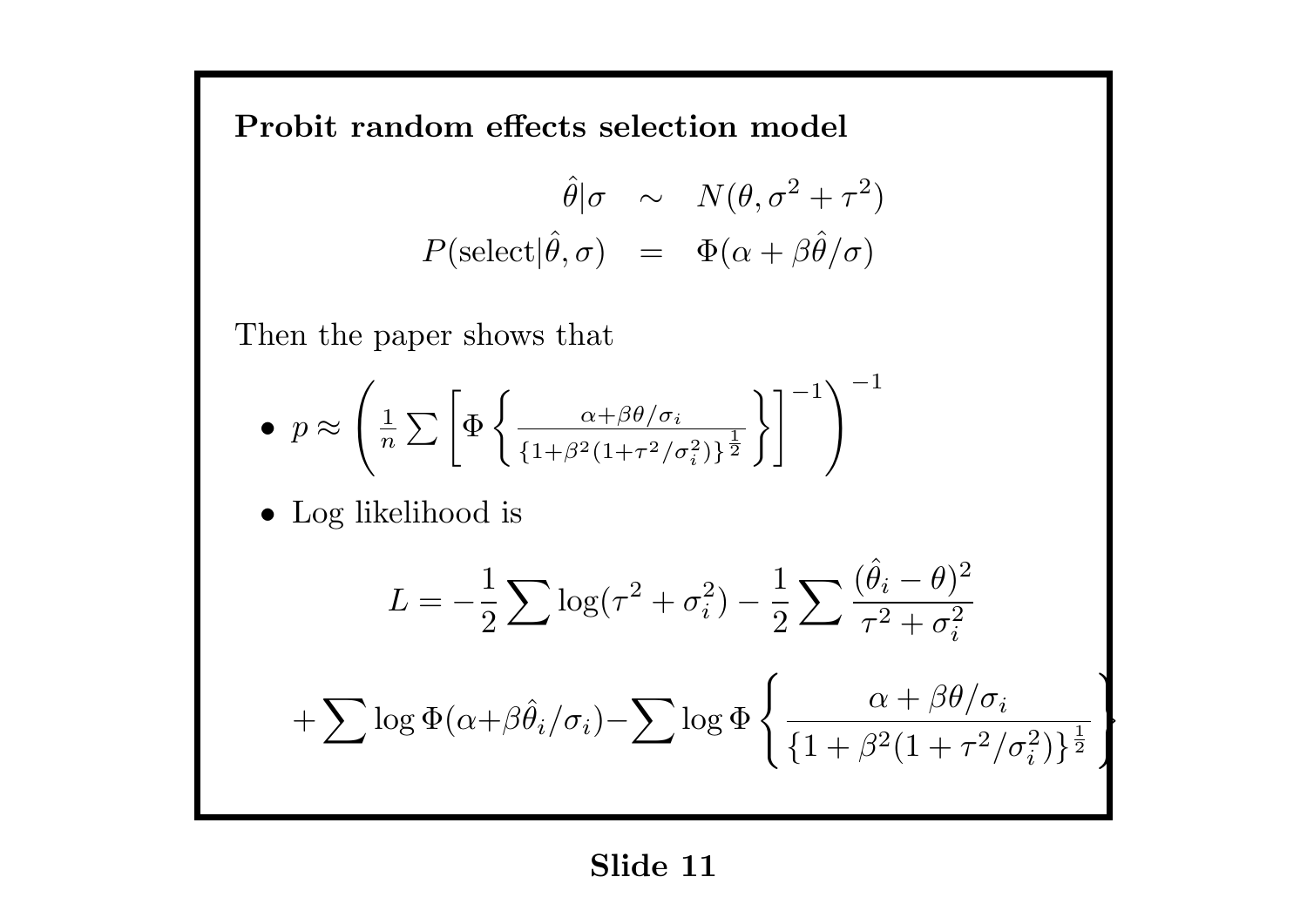**Probit random effects selection model**

$$
\hat{\theta}|\sigma \sim N(\theta, \sigma^2 + \tau^2)
$$
  

$$
P(\text{select}|\hat{\theta}, \sigma) = \Phi(\alpha + \beta \hat{\theta}/\sigma)
$$

Then the paper shows that

$$
\bullet \ \ p \approx \left(\frac{1}{n}\sum\left[\Phi\left\{\frac{\alpha+\beta\theta/\sigma_i}{\{1+\beta^2(1+\tau^2/\sigma_i^2)\}^{\frac{1}{2}}}\right\}\right]^{-1}\right)^{-1}
$$

*•* Log likelihood is

$$
L = -\frac{1}{2} \sum \log(\tau^2 + \sigma_i^2) - \frac{1}{2} \sum \frac{(\hat{\theta}_i - \theta)^2}{\tau^2 + \sigma_i^2}
$$

$$
+ \sum \log \Phi(\alpha + \beta \hat{\theta}_i/\sigma_i) - \sum \log \Phi \left\{ \frac{\alpha + \beta \theta/\sigma_i}{\{1 + \beta^2 (1 + \tau^2/\sigma_i^2)\}^{\frac{1}{2}}}\right\}
$$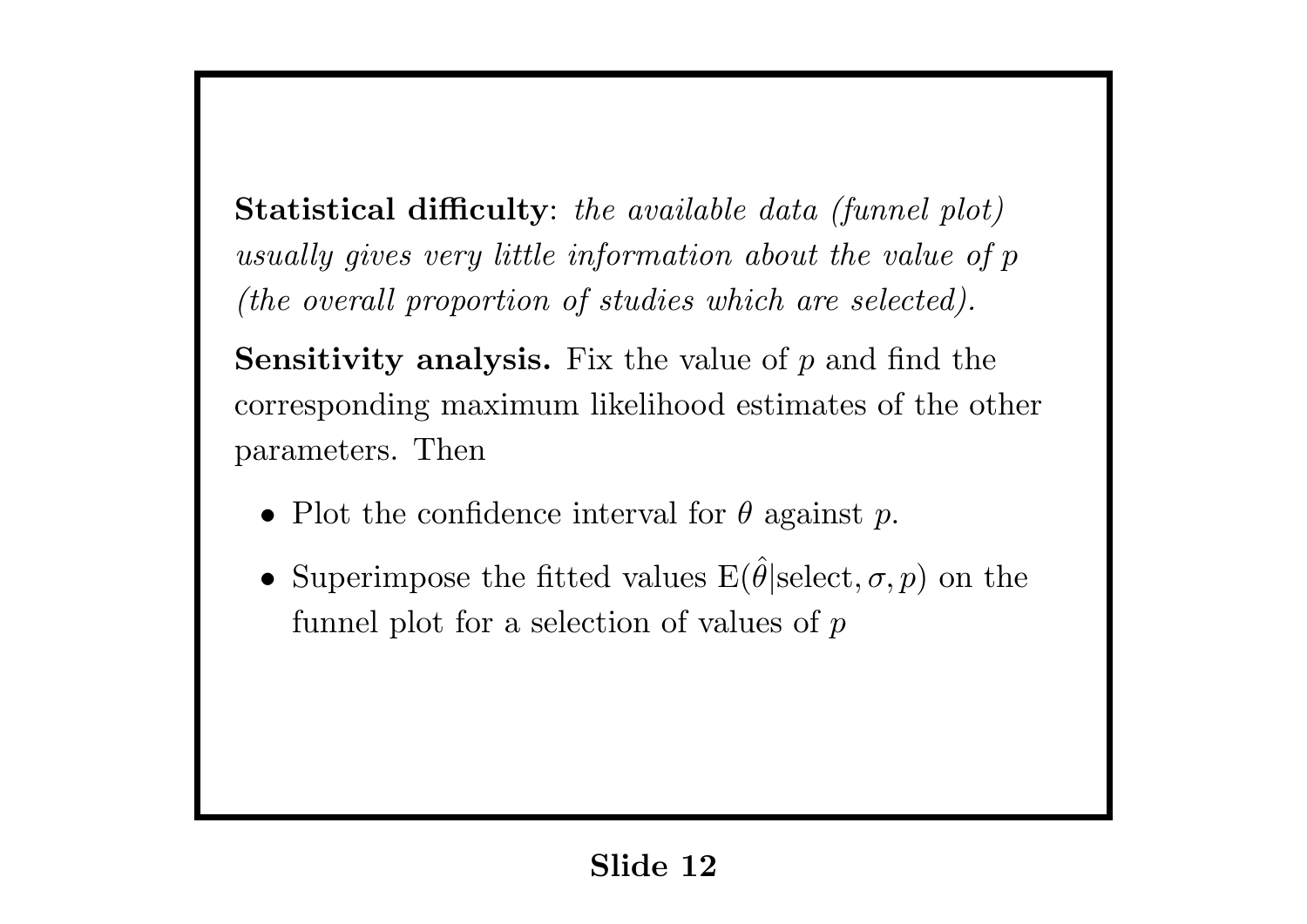**Statistical difficulty**: *the available data (funnel plot) usually gives very little information about the value of p (the overall proportion of studies which are selected).*

**Sensitivity analysis.** Fix the value of *p* and find the corresponding maximum likelihood estimates of the other parameters. Then

- *•* Plot the confidence interval for *θ* against *p*.
- Superimpose the fitted values  $E(\hat{\theta}|\text{select}, \sigma, p)$  on the funnel plot for a selection of values of *p*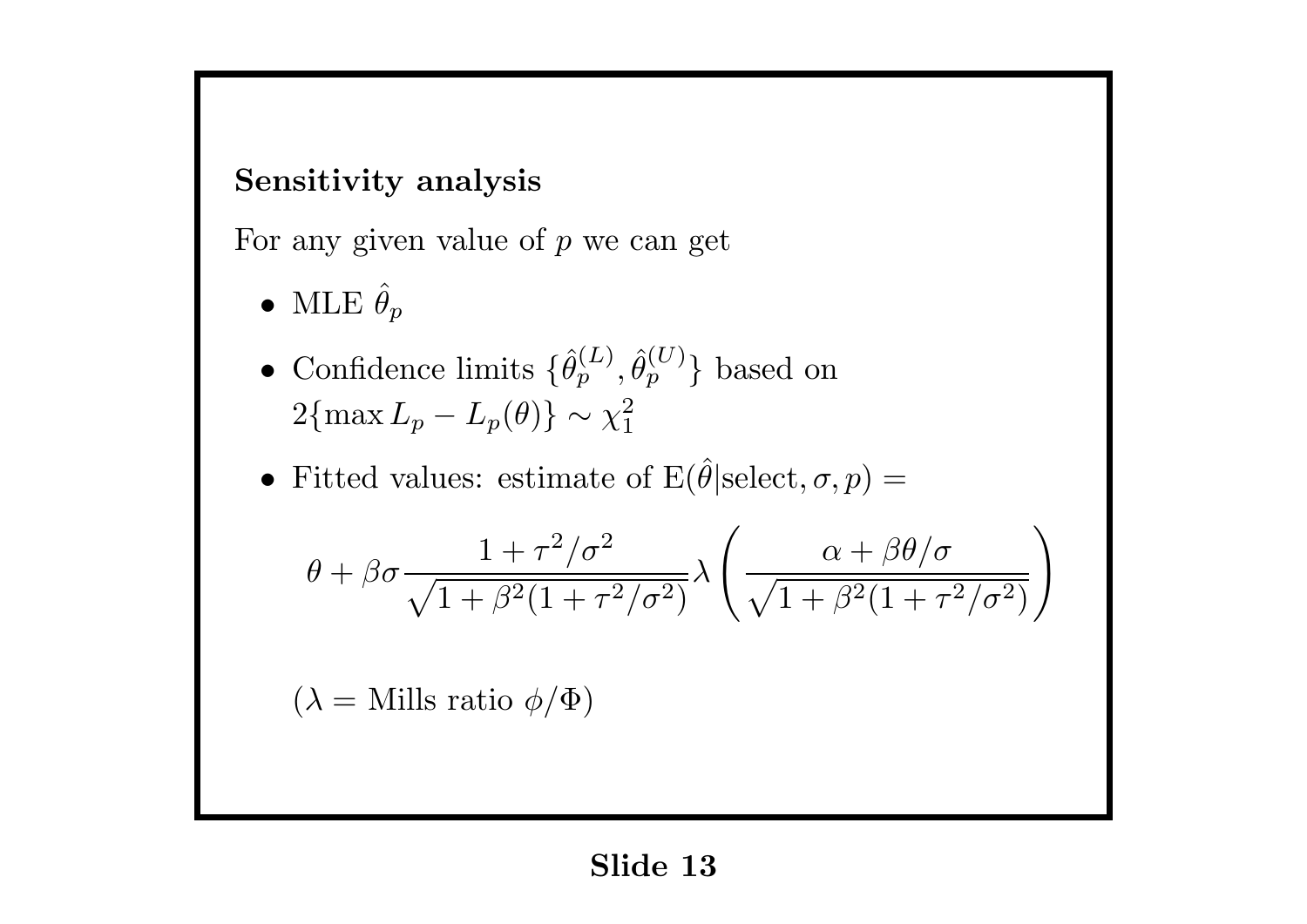#### **Sensitivity analysis**

For any given value of *p* we can get

- MLE  $\hat{\theta}_p$
- Confidence limits  $\{\hat{\theta}_p^{(L)}, \hat{\theta}_p^{(U)}\}$  based on  $2{\text{max }L_p - L_p(\theta)} \sim \chi_1^2$ 1
- Fitted values: estimate of  $E(\hat{\theta}|\text{select}, \sigma, p) =$

$$
\theta+\beta\sigma\frac{1+\tau^{2}/\sigma^{2}}{\sqrt{1+\beta^{2}(1+\tau^{2}/\sigma^{2})}}\lambda\left(\frac{\alpha+\beta\theta/\sigma}{\sqrt{1+\beta^{2}(1+\tau^{2}/\sigma^{2})}}\right)
$$

 $(\lambda =$  Mills ratio  $\phi/\Phi$ )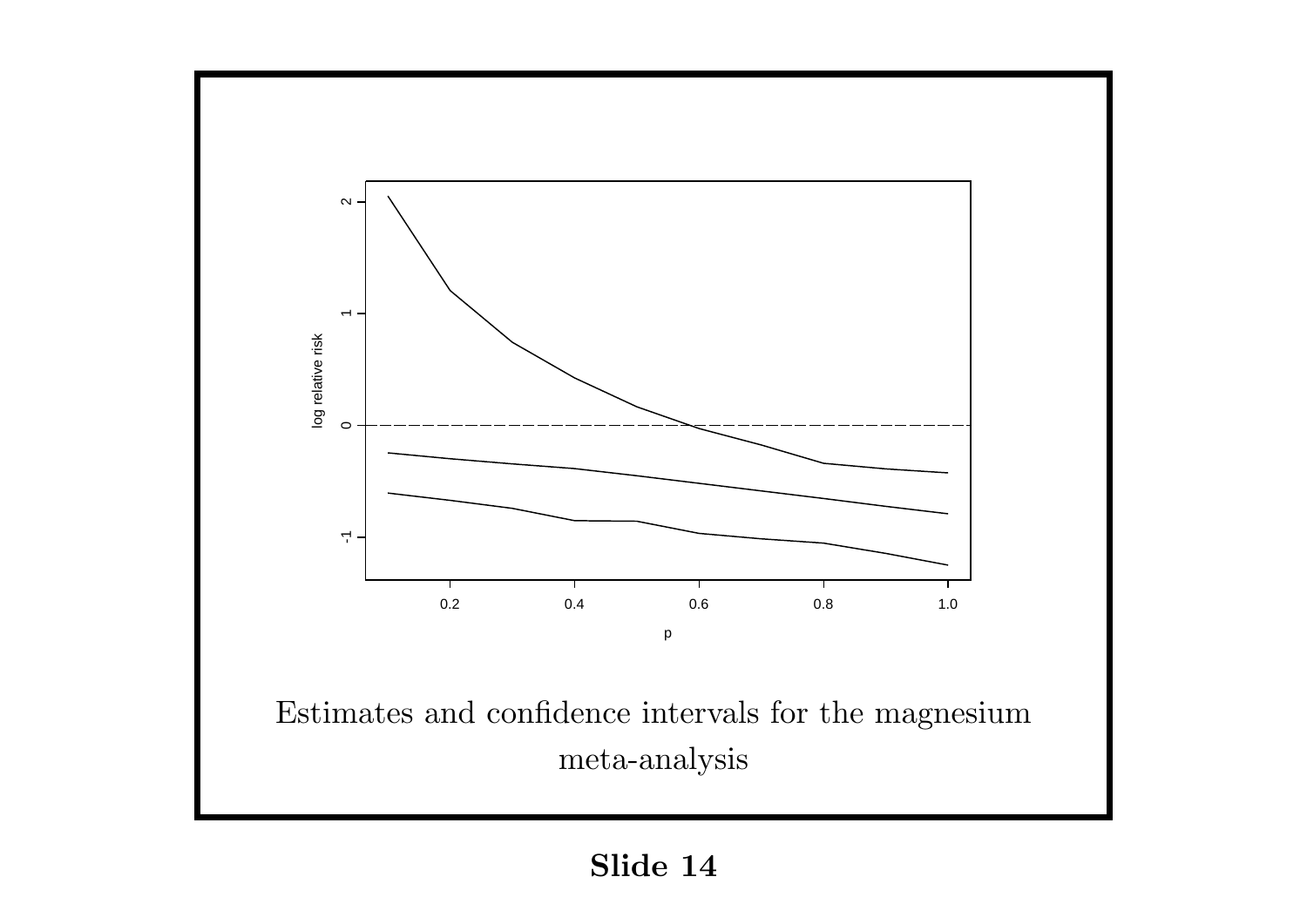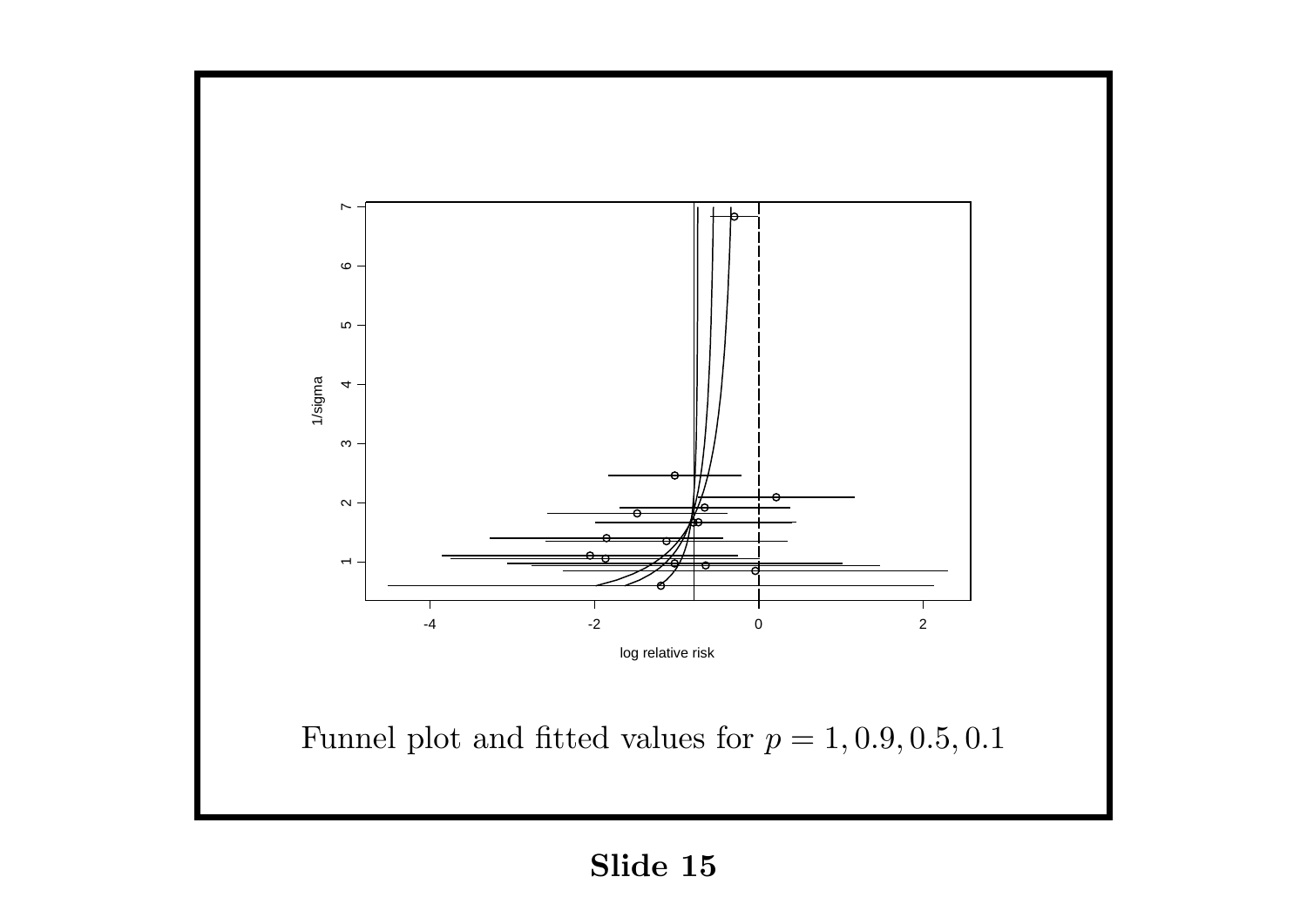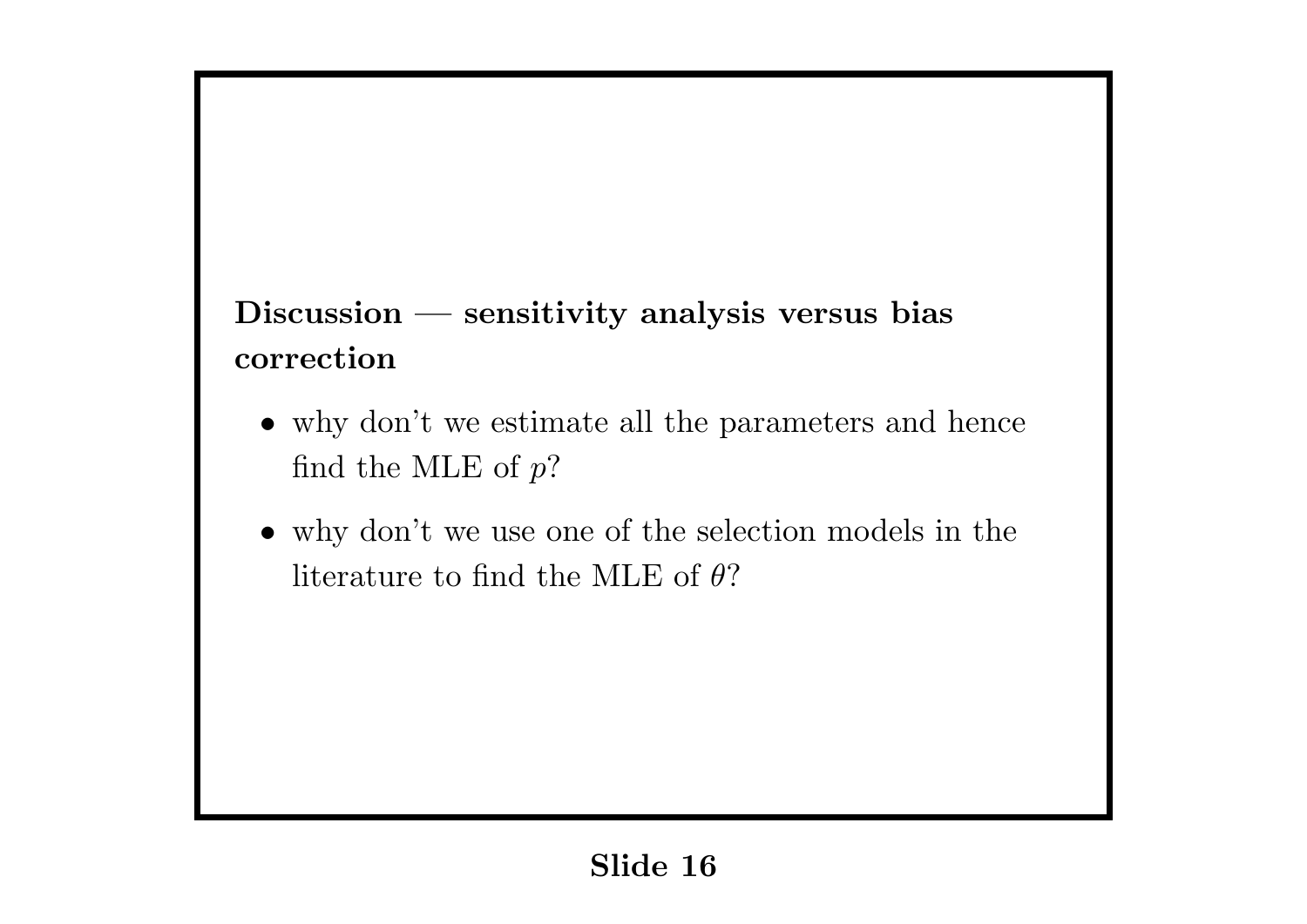# **Discussion — sensitivity analysis versus bias correction**

- why don't we estimate all the parameters and hence find the MLE of *p*?
- *•* why don't we use one of the selection models in the literature to find the MLE of *θ*?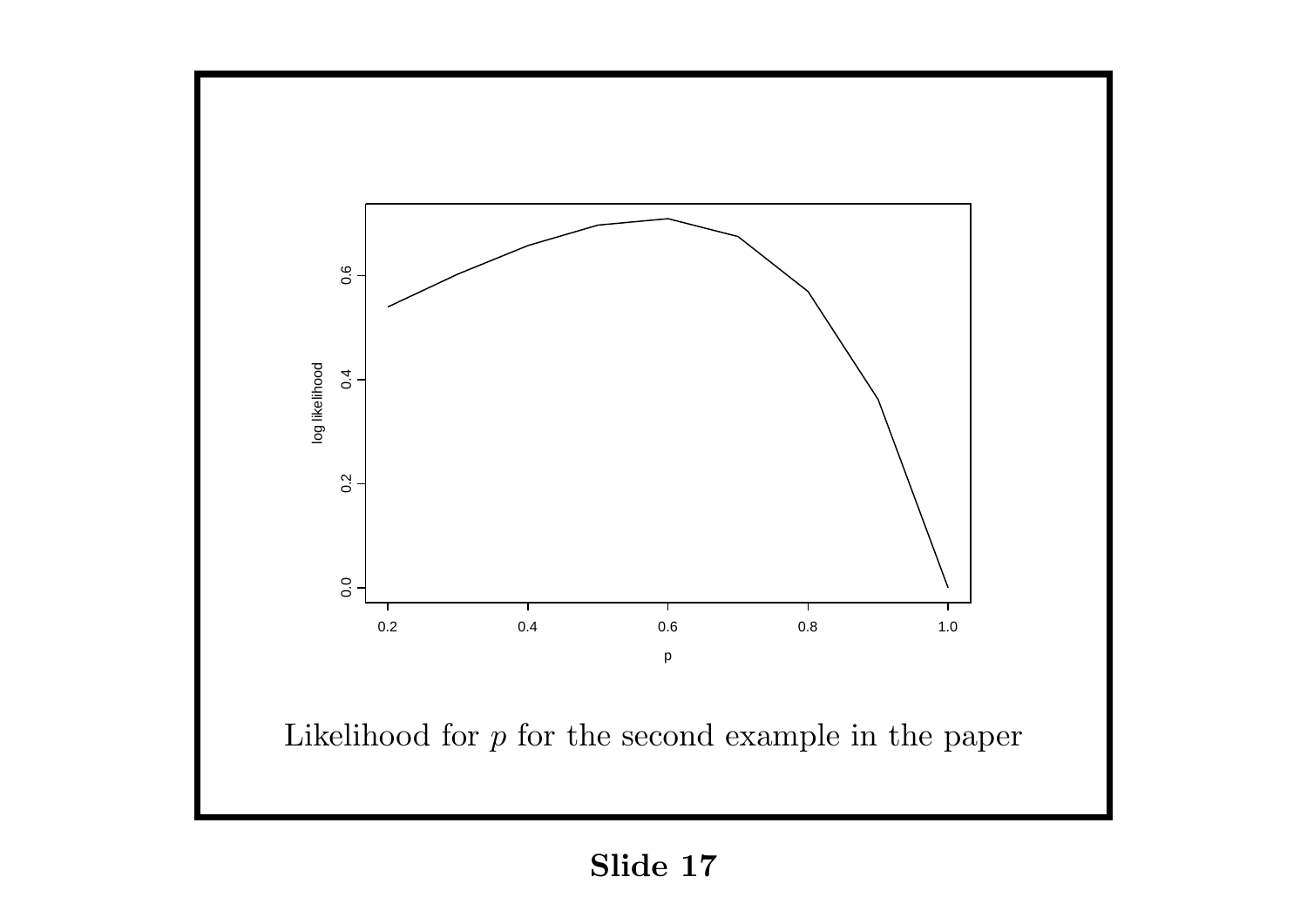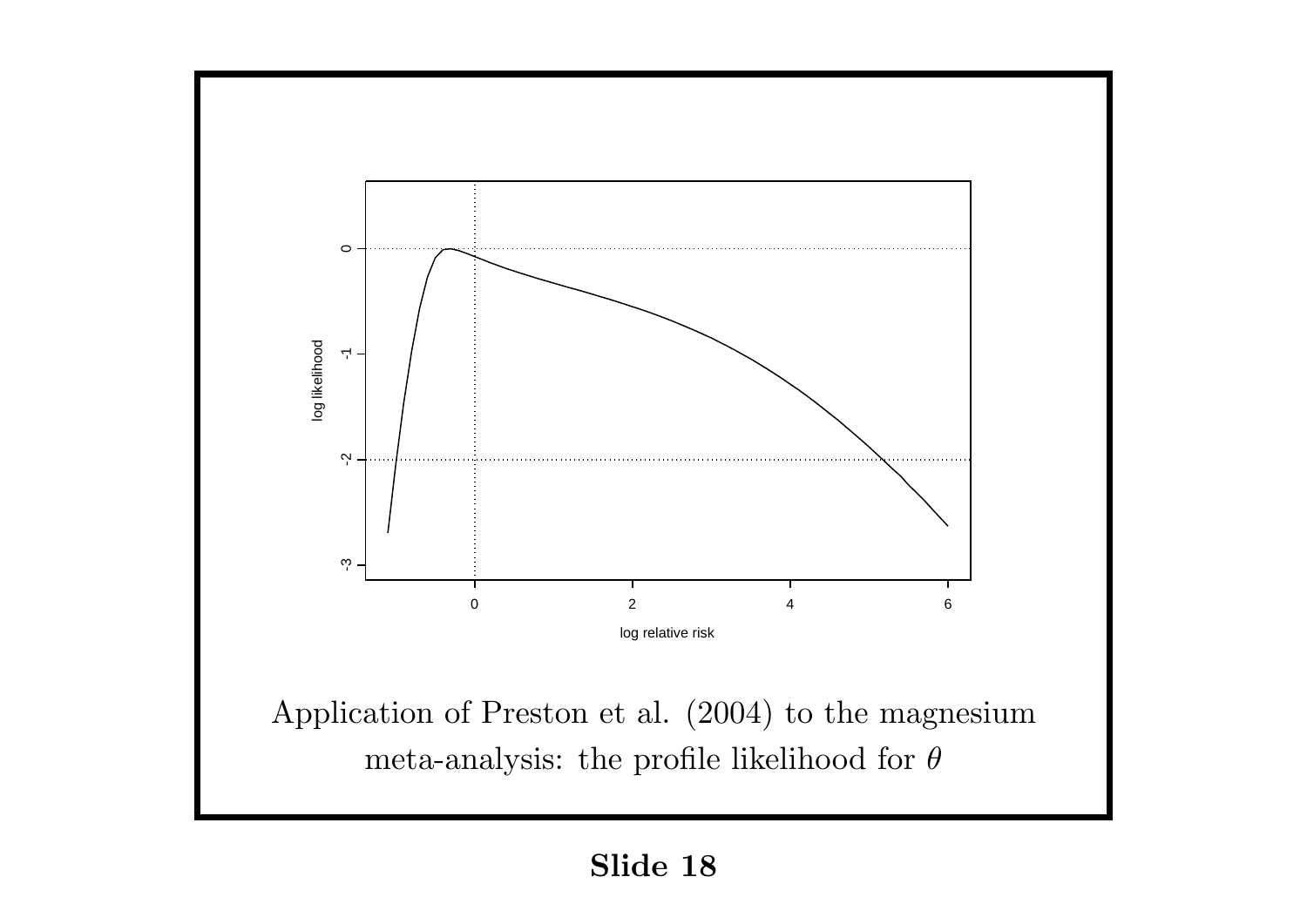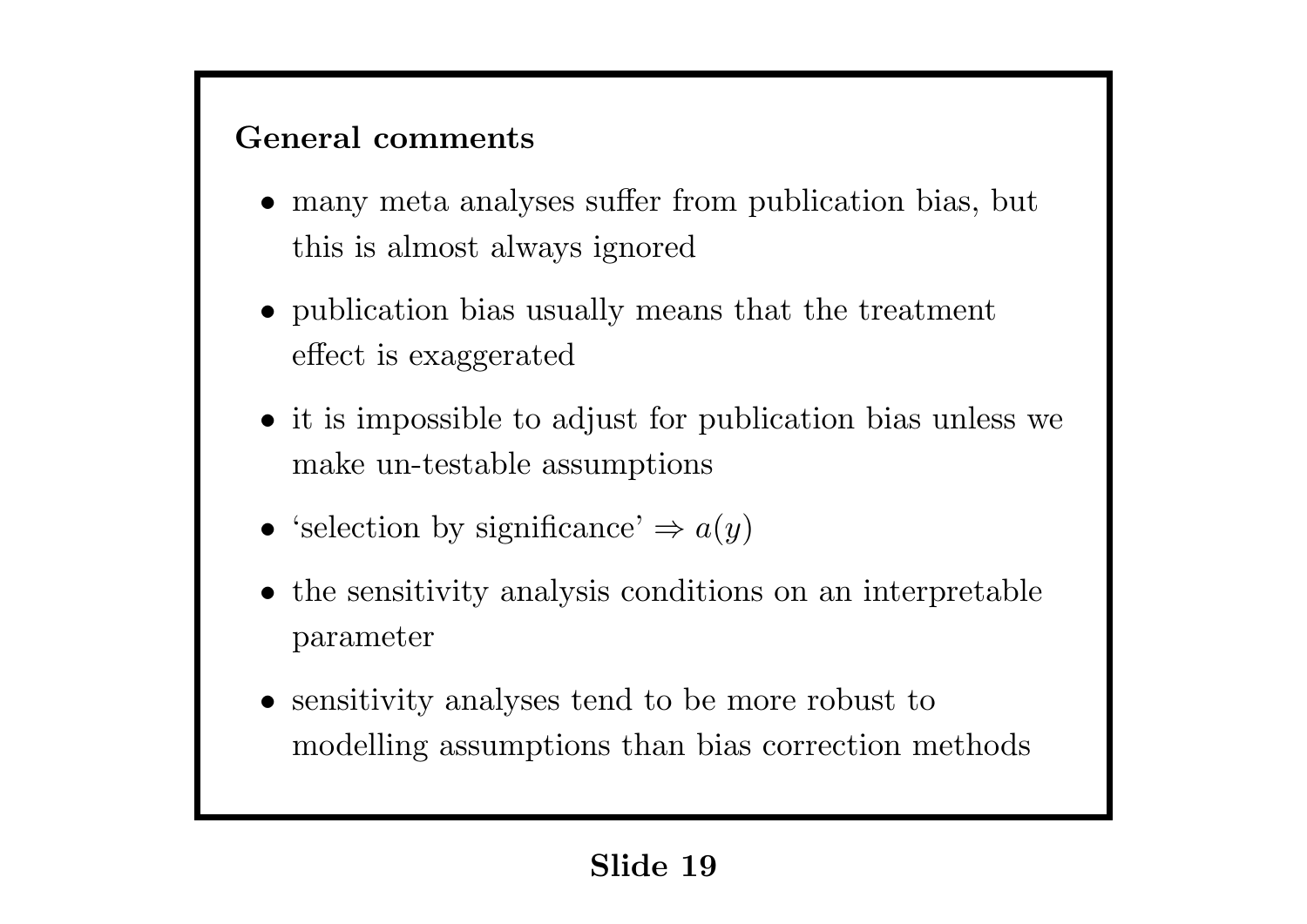### **General comments**

- many meta analyses suffer from publication bias, but this is almost always ignored
- publication bias usually means that the treatment effect is exaggerated
- it is impossible to adjust for publication bias unless we make un-testable assumptions
- 'selection by significance'  $\Rightarrow$  *a*(*y*)
- the sensitivity analysis conditions on an interpretable parameter
- sensitivity analyses tend to be more robust to modelling assumptions than bias correction methods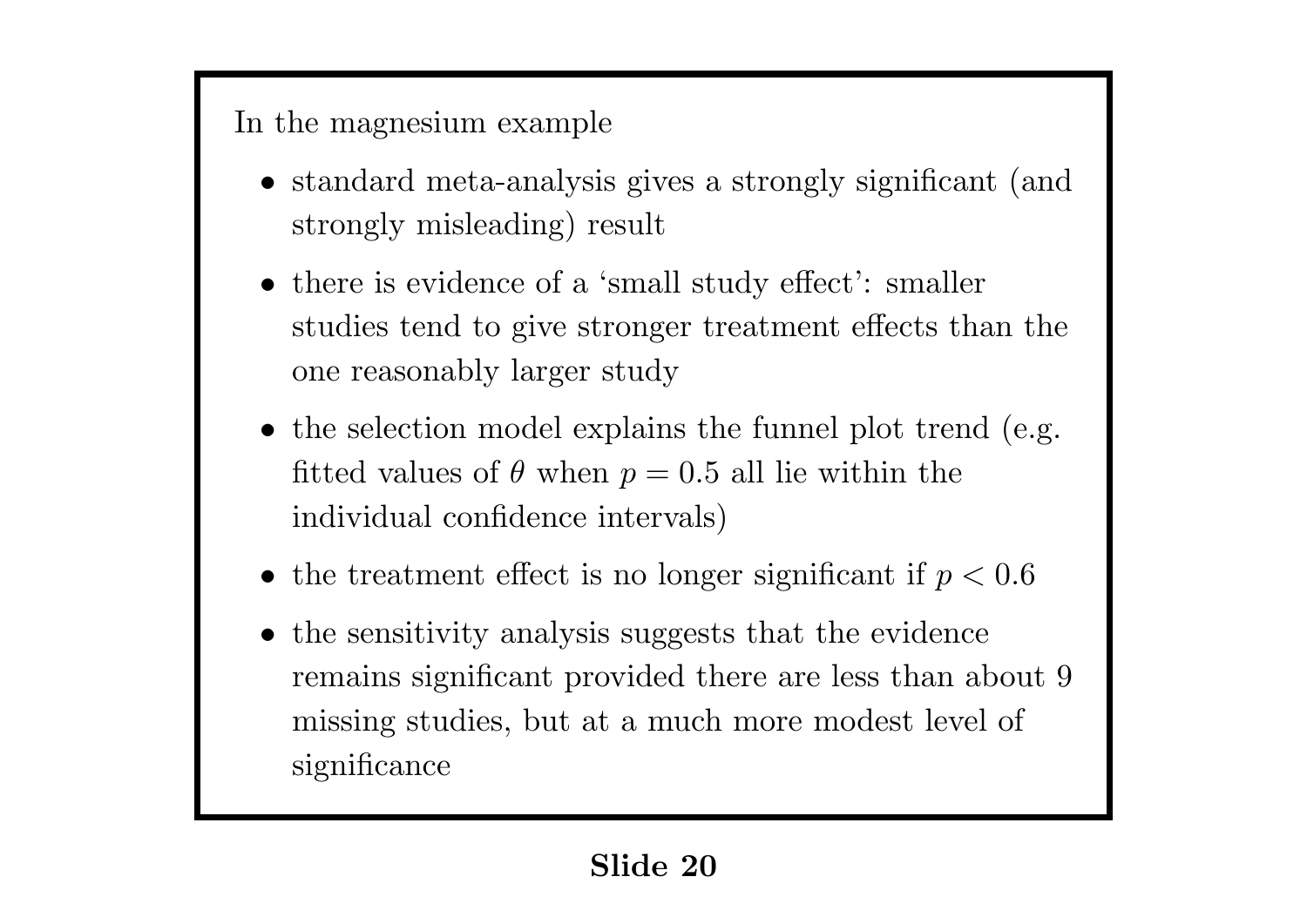## In the magnesium example

- standard meta-analysis gives a strongly significant (and strongly misleading) result
- there is evidence of a 'small study effect': smaller studies tend to give stronger treatment effects than the one reasonably larger study
- the selection model explains the funnel plot trend (e.g. fitted values of  $\theta$  when  $p = 0.5$  all lie within the individual confidence intervals)
- *•* the treatment effect is no longer significant if *p <* 0*.*6
- the sensitivity analysis suggests that the evidence remains significant provided there are less than about 9 missing studies, but at a much more modest level of significance